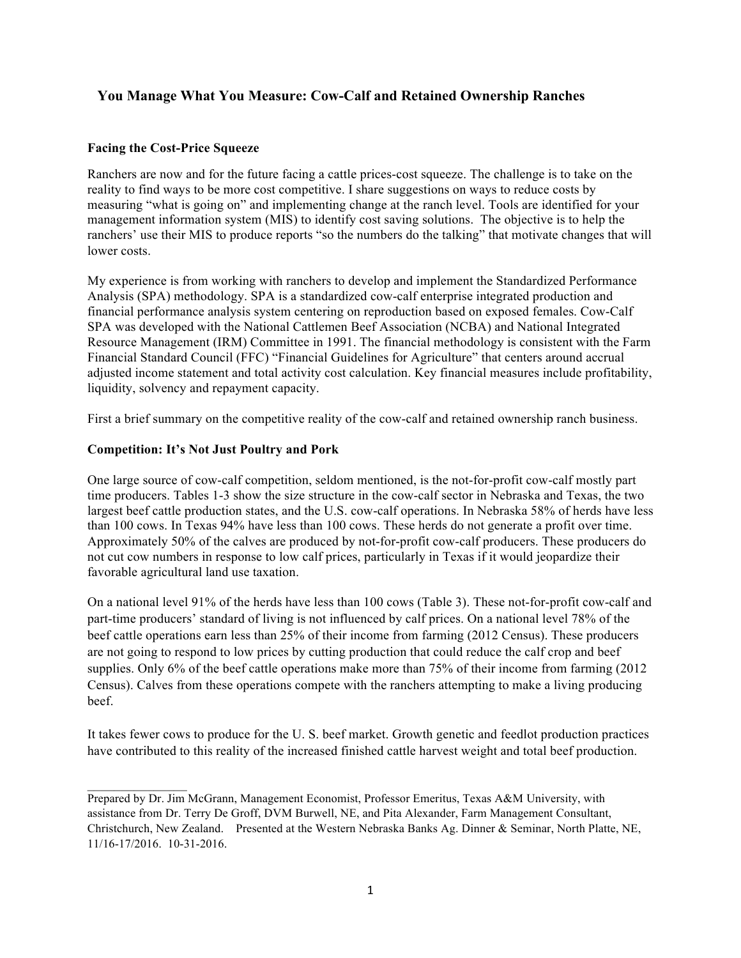# **You Manage What You Measure: Cow-Calf and Retained Ownership Ranches**

### **Facing the Cost-Price Squeeze**

Ranchers are now and for the future facing a cattle prices-cost squeeze. The challenge is to take on the reality to find ways to be more cost competitive. I share suggestions on ways to reduce costs by measuring "what is going on" and implementing change at the ranch level. Tools are identified for your management information system (MIS) to identify cost saving solutions. The objective is to help the ranchers' use their MIS to produce reports "so the numbers do the talking" that motivate changes that will lower costs.

My experience is from working with ranchers to develop and implement the Standardized Performance Analysis (SPA) methodology. SPA is a standardized cow-calf enterprise integrated production and financial performance analysis system centering on reproduction based on exposed females. Cow-Calf SPA was developed with the National Cattlemen Beef Association (NCBA) and National Integrated Resource Management (IRM) Committee in 1991. The financial methodology is consistent with the Farm Financial Standard Council (FFC) "Financial Guidelines for Agriculture" that centers around accrual adjusted income statement and total activity cost calculation. Key financial measures include profitability, liquidity, solvency and repayment capacity.

First a brief summary on the competitive reality of the cow-calf and retained ownership ranch business.

### **Competition: It's Not Just Poultry and Pork**

One large source of cow-calf competition, seldom mentioned, is the not-for-profit cow-calf mostly part time producers. Tables 1-3 show the size structure in the cow-calf sector in Nebraska and Texas, the two largest beef cattle production states, and the U.S. cow-calf operations. In Nebraska 58% of herds have less than 100 cows. In Texas 94% have less than 100 cows. These herds do not generate a profit over time. Approximately 50% of the calves are produced by not-for-profit cow-calf producers. These producers do not cut cow numbers in response to low calf prices, particularly in Texas if it would jeopardize their favorable agricultural land use taxation.

On a national level 91% of the herds have less than 100 cows (Table 3). These not-for-profit cow-calf and part-time producers' standard of living is not influenced by calf prices. On a national level 78% of the beef cattle operations earn less than 25% of their income from farming (2012 Census). These producers are not going to respond to low prices by cutting production that could reduce the calf crop and beef supplies. Only 6% of the beef cattle operations make more than 75% of their income from farming (2012) Census). Calves from these operations compete with the ranchers attempting to make a living producing beef.

It takes fewer cows to produce for the U. S. beef market. Growth genetic and feedlot production practices have contributed to this reality of the increased finished cattle harvest weight and total beef production.

 $\mathcal{L}_\text{max}$  and  $\mathcal{L}_\text{max}$ Prepared by Dr. Jim McGrann, Management Economist, Professor Emeritus, Texas A&M University, with assistance from Dr. Terry De Groff, DVM Burwell, NE, and Pita Alexander, Farm Management Consultant, Christchurch, New Zealand. Presented at the Western Nebraska Banks Ag. Dinner & Seminar, North Platte, NE, 11/16-17/2016. 10-31-2016.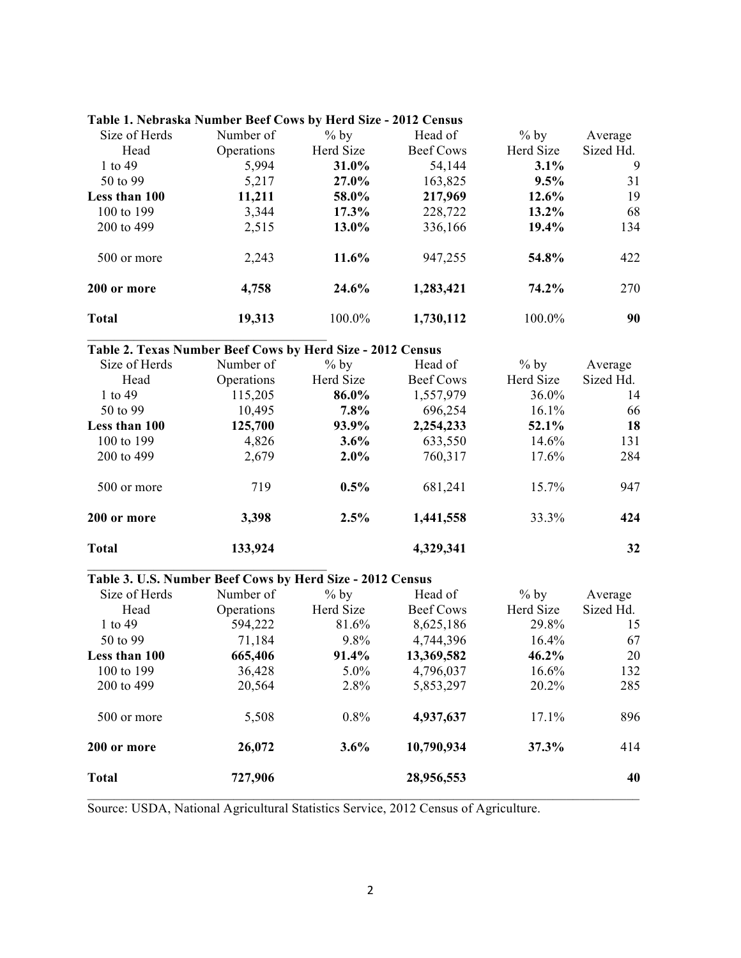| Size of Herds | Number of  | $%$ by    | Head of   | $%$ by    | Average   |
|---------------|------------|-----------|-----------|-----------|-----------|
| Head          | Operations | Herd Size | Beef Cows | Herd Size | Sized Hd. |
| 1 to $49$     | 5,994      | 31.0%     | 54,144    | $3.1\%$   | 9         |
| 50 to 99      | 5,217      | 27.0%     | 163,825   | 9.5%      | 31        |
| Less than 100 | 11,211     | 58.0%     | 217,969   | $12.6\%$  | 19        |
| 100 to 199    | 3,344      | $17.3\%$  | 228,722   | $13.2\%$  | 68        |
| 200 to 499    | 2,515      | 13.0%     | 336,166   | 19.4%     | 134       |
| 500 or more   | 2,243      | 11.6%     | 947,255   | 54.8%     | 422       |
| 200 or more   | 4,758      | 24.6%     | 1,283,421 | 74.2%     | 270       |
| <b>Total</b>  | 19,313     | 100.0%    | 1,730,112 | 100.0%    | 90        |

### **Table 2. Texas Number Beef Cows by Herd Size - 2012 Census**

 $\mathcal{L}_\text{max}$  and  $\mathcal{L}_\text{max}$  and  $\mathcal{L}_\text{max}$  and  $\mathcal{L}_\text{max}$ 

 $\overline{\phantom{a}}$  , where  $\overline{\phantom{a}}$  , where  $\overline{\phantom{a}}$  , where  $\overline{\phantom{a}}$ 

| Size of Herds | Number of  | $%$ by    | Head of   | $%$ by    | Average   |
|---------------|------------|-----------|-----------|-----------|-----------|
| Head          | Operations | Herd Size | Beef Cows | Herd Size | Sized Hd. |
| 1 to $49$     | 115,205    | 86.0%     | 1,557,979 | 36.0%     | 14        |
| 50 to 99      | 10,495     | $7.8\%$   | 696,254   | $16.1\%$  | 66        |
| Less than 100 | 125,700    | 93.9%     | 2,254,233 | 52.1%     | 18        |
| 100 to 199    | 4,826      | $3.6\%$   | 633,550   | 14.6%     | 131       |
| 200 to 499    | 2,679      | $2.0\%$   | 760,317   | 17.6%     | 284       |
| 500 or more   | 719        | $0.5\%$   | 681,241   | 15.7%     | 947       |
| 200 or more   | 3,398      | 2.5%      | 1,441,558 | 33.3%     | 424       |
| <b>Total</b>  | 133,924    |           | 4,329,341 |           | 32        |

#### **Table 3. U.S. Number Beef Cows by Herd Size - 2012 Census**

| Number of | $%$ by                | Head of            | $%$ by                 | Average            |
|-----------|-----------------------|--------------------|------------------------|--------------------|
|           |                       |                    |                        | Sized Hd.          |
|           |                       |                    |                        | 15                 |
| 71,184    | $9.8\%$               | 4,744,396          | $16.4\%$               | 67                 |
| 665,406   | 91.4%                 | 13,369,582         | $46.2\%$               | 20                 |
| 36,428    | $5.0\%$               | 4,796,037          | $16.6\%$               | 132                |
| 20,564    | 2.8%                  | 5,853,297          | 20.2%                  | 285                |
| 5,508     | $0.8\%$               | 4,937,637          | 17.1%                  | 896                |
| 26,072    | 3.6%                  | 10,790,934         | 37.3%                  | 414                |
| 727,906   |                       | 28,956,553         |                        | 40                 |
|           | Operations<br>594,222 | Herd Size<br>81.6% | Beef Cows<br>8,625,186 | Herd Size<br>29.8% |

Source: USDA, National Agricultural Statistics Service, 2012 Census of Agriculture.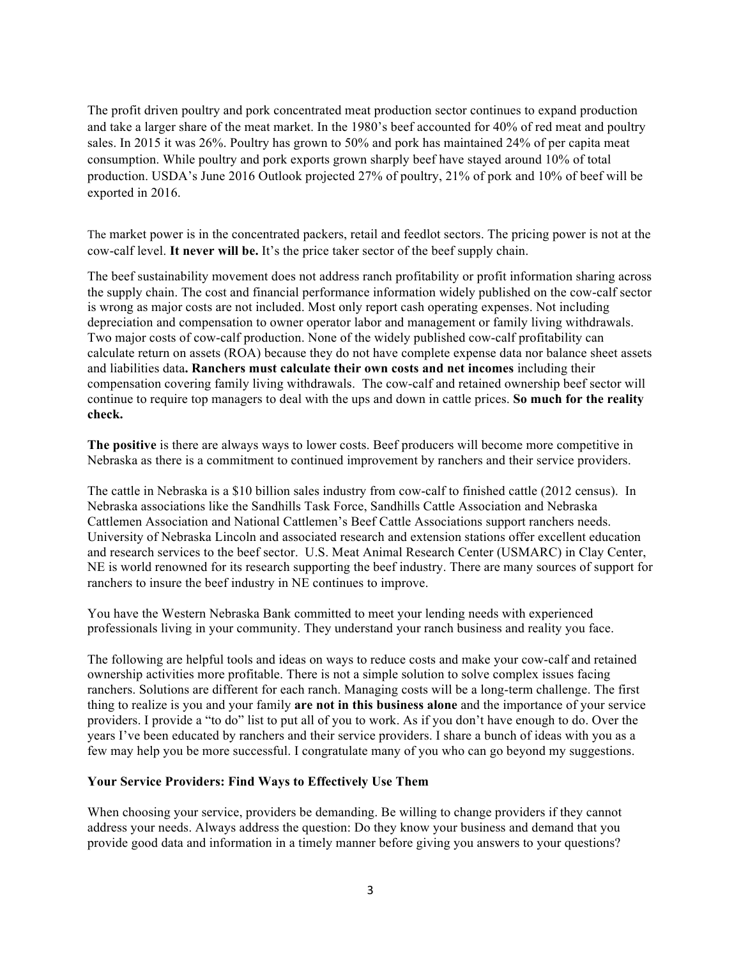The profit driven poultry and pork concentrated meat production sector continues to expand production and take a larger share of the meat market. In the 1980's beef accounted for 40% of red meat and poultry sales. In 2015 it was 26%. Poultry has grown to 50% and pork has maintained 24% of per capita meat consumption. While poultry and pork exports grown sharply beef have stayed around 10% of total production. USDA's June 2016 Outlook projected 27% of poultry, 21% of pork and 10% of beef will be exported in 2016.

The market power is in the concentrated packers, retail and feedlot sectors. The pricing power is not at the cow-calf level. **It never will be.** It's the price taker sector of the beef supply chain.

The beef sustainability movement does not address ranch profitability or profit information sharing across the supply chain. The cost and financial performance information widely published on the cow-calf sector is wrong as major costs are not included. Most only report cash operating expenses. Not including depreciation and compensation to owner operator labor and management or family living withdrawals. Two major costs of cow-calf production. None of the widely published cow-calf profitability can calculate return on assets (ROA) because they do not have complete expense data nor balance sheet assets and liabilities data**. Ranchers must calculate their own costs and net incomes** including their compensation covering family living withdrawals. The cow-calf and retained ownership beef sector will continue to require top managers to deal with the ups and down in cattle prices. **So much for the reality check.**

**The positive** is there are always ways to lower costs. Beef producers will become more competitive in Nebraska as there is a commitment to continued improvement by ranchers and their service providers.

The cattle in Nebraska is a \$10 billion sales industry from cow-calf to finished cattle (2012 census). In Nebraska associations like the Sandhills Task Force, Sandhills Cattle Association and Nebraska Cattlemen Association and National Cattlemen's Beef Cattle Associations support ranchers needs. University of Nebraska Lincoln and associated research and extension stations offer excellent education and research services to the beef sector. U.S. Meat Animal Research Center (USMARC) in Clay Center, NE is world renowned for its research supporting the beef industry. There are many sources of support for ranchers to insure the beef industry in NE continues to improve.

You have the Western Nebraska Bank committed to meet your lending needs with experienced professionals living in your community. They understand your ranch business and reality you face.

The following are helpful tools and ideas on ways to reduce costs and make your cow-calf and retained ownership activities more profitable. There is not a simple solution to solve complex issues facing ranchers. Solutions are different for each ranch. Managing costs will be a long-term challenge. The first thing to realize is you and your family **are not in this business alone** and the importance of your service providers. I provide a "to do" list to put all of you to work. As if you don't have enough to do. Over the years I've been educated by ranchers and their service providers. I share a bunch of ideas with you as a few may help you be more successful. I congratulate many of you who can go beyond my suggestions.

### **Your Service Providers: Find Ways to Effectively Use Them**

When choosing your service, providers be demanding. Be willing to change providers if they cannot address your needs. Always address the question: Do they know your business and demand that you provide good data and information in a timely manner before giving you answers to your questions?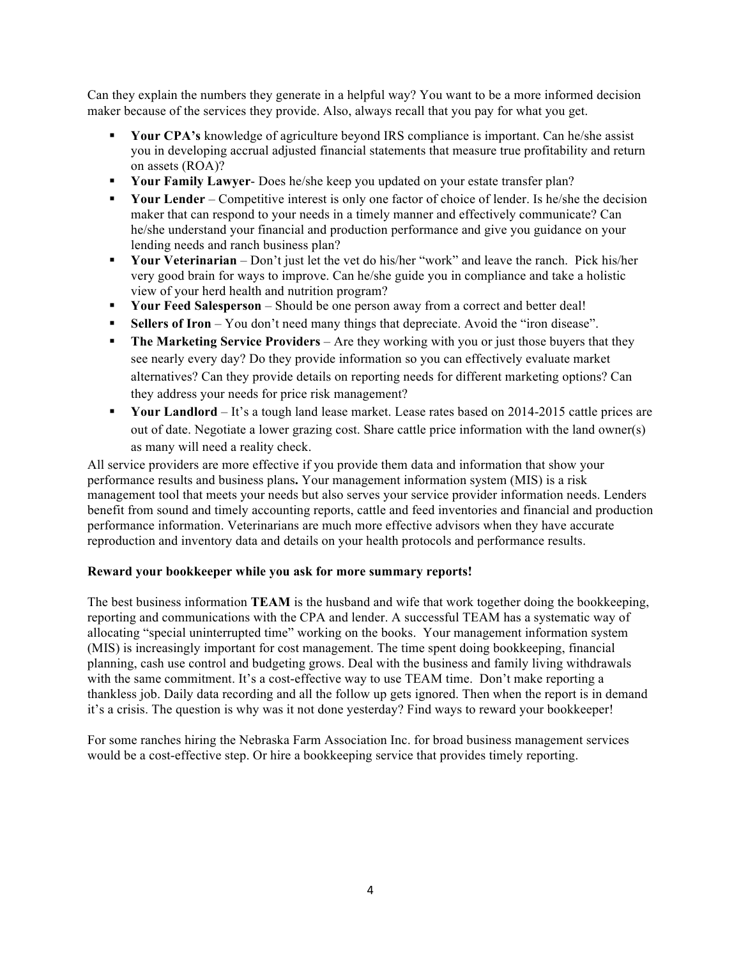Can they explain the numbers they generate in a helpful way? You want to be a more informed decision maker because of the services they provide. Also, always recall that you pay for what you get.

- ! **Your CPA's** knowledge of agriculture beyond IRS compliance is important. Can he/she assist you in developing accrual adjusted financial statements that measure true profitability and return on assets (ROA)?
- ! **Your Family Lawyer** Does he/she keep you updated on your estate transfer plan?
- ! **Your Lender** Competitive interest is only one factor of choice of lender. Is he/she the decision maker that can respond to your needs in a timely manner and effectively communicate? Can he/she understand your financial and production performance and give you guidance on your lending needs and ranch business plan?
- ! **Your Veterinarian** Don't just let the vet do his/her "work" and leave the ranch. Pick his/her very good brain for ways to improve. Can he/she guide you in compliance and take a holistic view of your herd health and nutrition program?
- ! **Your Feed Salesperson** Should be one person away from a correct and better deal!
- ! **Sellers of Iron** You don't need many things that depreciate. Avoid the "iron disease".
- **The Marketing Service Providers** Are they working with you or just those buyers that they see nearly every day? Do they provide information so you can effectively evaluate market alternatives? Can they provide details on reporting needs for different marketing options? Can they address your needs for price risk management?
- ! **Your Landlord**  It's a tough land lease market. Lease rates based on 2014-2015 cattle prices are out of date. Negotiate a lower grazing cost. Share cattle price information with the land owner(s) as many will need a reality check.

All service providers are more effective if you provide them data and information that show your performance results and business plans**.** Your management information system (MIS) is a risk management tool that meets your needs but also serves your service provider information needs. Lenders benefit from sound and timely accounting reports, cattle and feed inventories and financial and production performance information. Veterinarians are much more effective advisors when they have accurate reproduction and inventory data and details on your health protocols and performance results.

### **Reward your bookkeeper while you ask for more summary reports!**

The best business information **TEAM** is the husband and wife that work together doing the bookkeeping, reporting and communications with the CPA and lender. A successful TEAM has a systematic way of allocating "special uninterrupted time" working on the books. Your management information system (MIS) is increasingly important for cost management. The time spent doing bookkeeping, financial planning, cash use control and budgeting grows. Deal with the business and family living withdrawals with the same commitment. It's a cost-effective way to use TEAM time. Don't make reporting a thankless job. Daily data recording and all the follow up gets ignored. Then when the report is in demand it's a crisis. The question is why was it not done yesterday? Find ways to reward your bookkeeper!

For some ranches hiring the Nebraska Farm Association Inc. for broad business management services would be a cost-effective step. Or hire a bookkeeping service that provides timely reporting.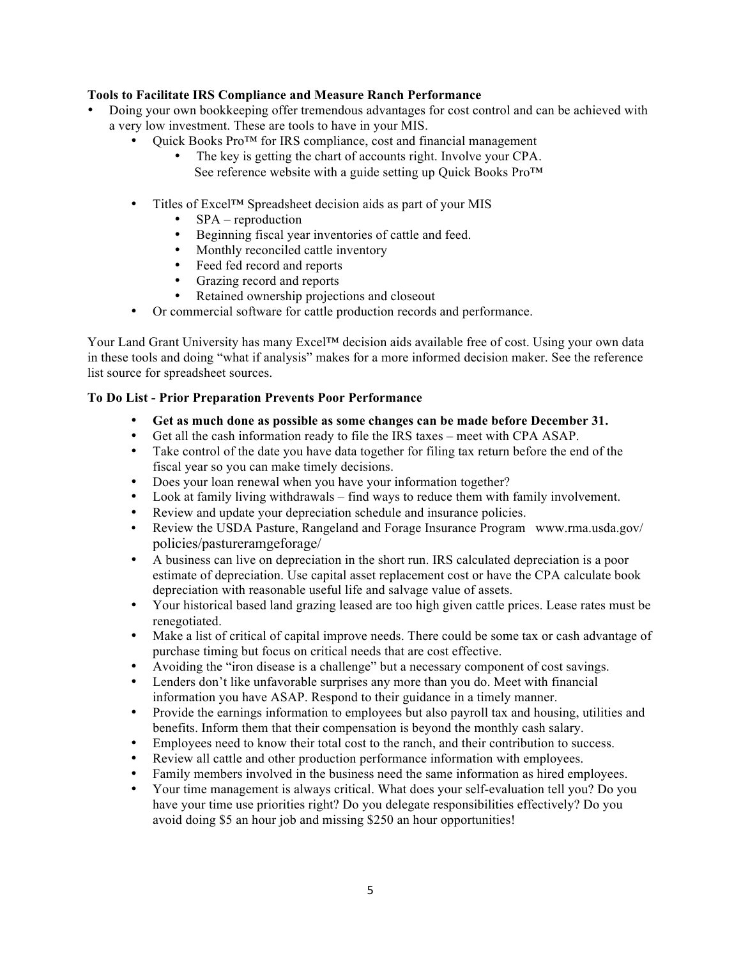### **Tools to Facilitate IRS Compliance and Measure Ranch Performance**

- Doing your own bookkeeping offer tremendous advantages for cost control and can be achieved with a very low investment. These are tools to have in your MIS.
	- Ouick Books Pro<sup>TM</sup> for IRS compliance, cost and financial management
		- The key is getting the chart of accounts right. Involve your CPA. See reference website with a guide setting up Quick Books Pro™
	- Titles of Excel™ Spreadsheet decision aids as part of your MIS
		- SPA reproduction<br>• Beginning fiscal year
		- Beginning fiscal year inventories of cattle and feed.
		- Monthly reconciled cattle inventory
		- Feed fed record and reports
		- Grazing record and reports
		- Retained ownership projections and closeout
	- Or commercial software for cattle production records and performance.

Your Land Grant University has many Excel™ decision aids available free of cost. Using your own data in these tools and doing "what if analysis" makes for a more informed decision maker. See the reference list source for spreadsheet sources.

### **To Do List - Prior Preparation Prevents Poor Performance**

- **Get as much done as possible as some changes can be made before December 31.**
- Get all the cash information ready to file the IRS taxes meet with CPA ASAP.
- Take control of the date you have data together for filing tax return before the end of the fiscal year so you can make timely decisions.
- Does your loan renewal when you have your information together?
- Look at family living withdrawals find ways to reduce them with family involvement.
- Review and update your depreciation schedule and insurance policies.
- Review the USDA Pasture, Rangeland and Forage Insurance Program www.rma.usda.gov/ policies/pastureramgeforage/
- A business can live on depreciation in the short run. IRS calculated depreciation is a poor estimate of depreciation. Use capital asset replacement cost or have the CPA calculate book depreciation with reasonable useful life and salvage value of assets.
- Your historical based land grazing leased are too high given cattle prices. Lease rates must be renegotiated.
- Make a list of critical of capital improve needs. There could be some tax or cash advantage of purchase timing but focus on critical needs that are cost effective.
- Avoiding the "iron disease is a challenge" but a necessary component of cost savings.
- Lenders don't like unfavorable surprises any more than you do. Meet with financial information you have ASAP. Respond to their guidance in a timely manner.
- Provide the earnings information to employees but also payroll tax and housing, utilities and benefits. Inform them that their compensation is beyond the monthly cash salary.
- Employees need to know their total cost to the ranch, and their contribution to success.
- Review all cattle and other production performance information with employees.
- Family members involved in the business need the same information as hired employees.
- Your time management is always critical. What does your self-evaluation tell you? Do you have your time use priorities right? Do you delegate responsibilities effectively? Do you avoid doing \$5 an hour job and missing \$250 an hour opportunities!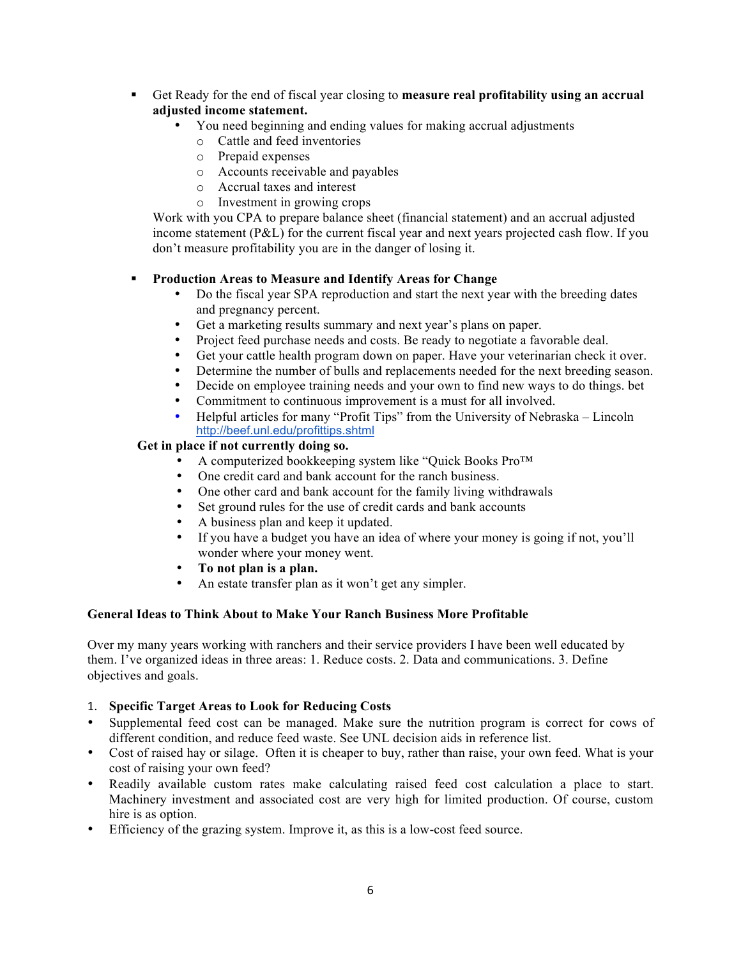- ! Get Ready for the end of fiscal year closing to **measure real profitability using an accrual adjusted income statement.**
	- You need beginning and ending values for making accrual adjustments
		- o Cattle and feed inventories
		- o Prepaid expenses
		- o Accounts receivable and payables
		- o Accrual taxes and interest
		- o Investment in growing crops

Work with you CPA to prepare balance sheet (financial statement) and an accrual adjusted income statement (P&L) for the current fiscal year and next years projected cash flow. If you don't measure profitability you are in the danger of losing it.

### ! **Production Areas to Measure and Identify Areas for Change**

- Do the fiscal year SPA reproduction and start the next year with the breeding dates and pregnancy percent.
- Get a marketing results summary and next year's plans on paper.<br>• Project feed purchase needs and costs. Be ready to negotiate a favor
- Project feed purchase needs and costs. Be ready to negotiate a favorable deal.
- Get your cattle health program down on paper. Have your veterinarian check it over.
- Determine the number of bulls and replacements needed for the next breeding season.<br>• Decide on employee training needs and your own to find new ways to do things bet
- Decide on employee training needs and your own to find new ways to do things. bet<br>• Commitment to continuous improvement is a must for all involved
- Commitment to continuous improvement is a must for all involved.<br>• Helpful articles for many "Profit Tips" from the University of Nebra
- Helpful articles for many "Profit Tips" from the University of Nebraska Lincoln http://beef.unl.edu/profittips.shtml

### **Get in place if not currently doing so.**

- A computerized bookkeeping system like "Quick Books Pro™
- One credit card and bank account for the ranch business.<br>• One other card and bank account for the family living wi
- One other card and bank account for the family living withdrawals
- Set ground rules for the use of credit cards and bank accounts
- A business plan and keep it updated.
- If you have a budget you have an idea of where your money is going if not, you'll wonder where your money went.
- **To not plan is a plan.**
- An estate transfer plan as it won't get any simpler.

### **General Ideas to Think About to Make Your Ranch Business More Profitable**

Over my many years working with ranchers and their service providers I have been well educated by them. I've organized ideas in three areas: 1. Reduce costs. 2. Data and communications. 3. Define objectives and goals.

### 1. **Specific Target Areas to Look for Reducing Costs**

- Supplemental feed cost can be managed. Make sure the nutrition program is correct for cows of different condition, and reduce feed waste. See UNL decision aids in reference list.
- Cost of raised hay or silage. Often it is cheaper to buy, rather than raise, your own feed. What is your cost of raising your own feed?
- Readily available custom rates make calculating raised feed cost calculation a place to start. Machinery investment and associated cost are very high for limited production. Of course, custom hire is as option.
- Efficiency of the grazing system. Improve it, as this is a low-cost feed source.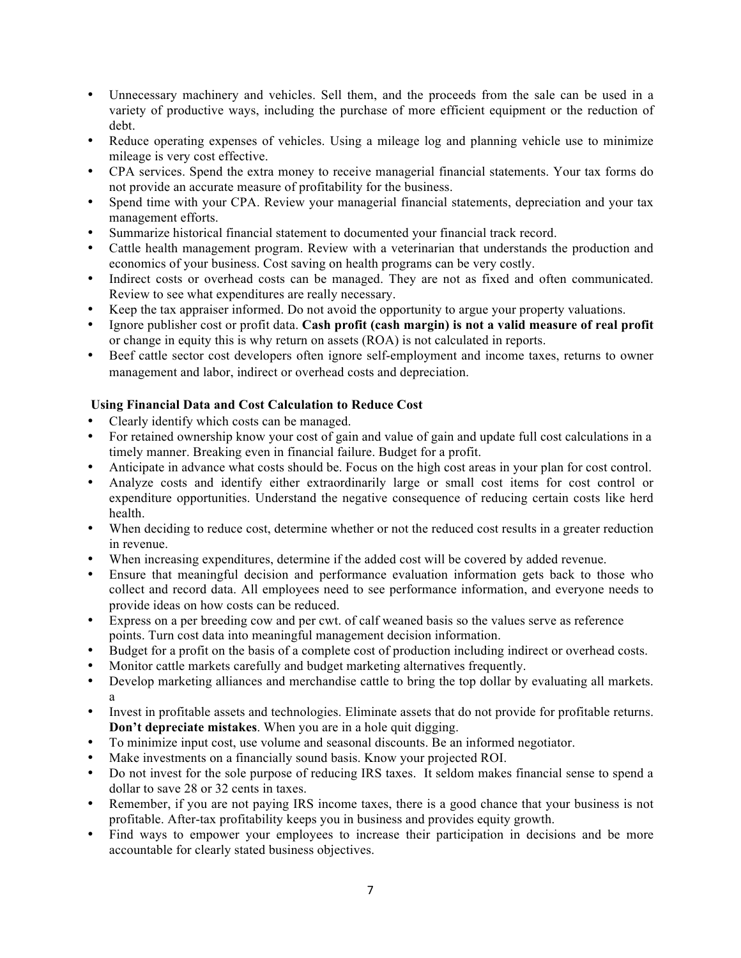- Unnecessary machinery and vehicles. Sell them, and the proceeds from the sale can be used in a variety of productive ways, including the purchase of more efficient equipment or the reduction of debt.
- Reduce operating expenses of vehicles. Using a mileage log and planning vehicle use to minimize mileage is very cost effective.
- CPA services. Spend the extra money to receive managerial financial statements. Your tax forms do not provide an accurate measure of profitability for the business.
- Spend time with your CPA. Review your managerial financial statements, depreciation and your tax management efforts.
- Summarize historical financial statement to documented your financial track record.
- Cattle health management program. Review with a veterinarian that understands the production and economics of your business. Cost saving on health programs can be very costly.
- Indirect costs or overhead costs can be managed. They are not as fixed and often communicated. Review to see what expenditures are really necessary.
- Keep the tax appraiser informed. Do not avoid the opportunity to argue your property valuations.
- Ignore publisher cost or profit data. **Cash profit (cash margin) is not a valid measure of real profit** or change in equity this is why return on assets (ROA) is not calculated in reports.
- Beef cattle sector cost developers often ignore self-employment and income taxes, returns to owner management and labor, indirect or overhead costs and depreciation.

## **Using Financial Data and Cost Calculation to Reduce Cost**

- Clearly identify which costs can be managed.
- For retained ownership know your cost of gain and value of gain and update full cost calculations in a timely manner. Breaking even in financial failure. Budget for a profit.
- Anticipate in advance what costs should be. Focus on the high cost areas in your plan for cost control.
- Analyze costs and identify either extraordinarily large or small cost items for cost control or expenditure opportunities. Understand the negative consequence of reducing certain costs like herd health.
- When deciding to reduce cost, determine whether or not the reduced cost results in a greater reduction in revenue.
- When increasing expenditures, determine if the added cost will be covered by added revenue.
- Ensure that meaningful decision and performance evaluation information gets back to those who collect and record data. All employees need to see performance information, and everyone needs to provide ideas on how costs can be reduced.
- Express on a per breeding cow and per cwt. of calf weaned basis so the values serve as reference points. Turn cost data into meaningful management decision information.
- Budget for a profit on the basis of a complete cost of production including indirect or overhead costs.
- Monitor cattle markets carefully and budget marketing alternatives frequently.
- Develop marketing alliances and merchandise cattle to bring the top dollar by evaluating all markets. a
- Invest in profitable assets and technologies. Eliminate assets that do not provide for profitable returns. **Don't depreciate mistakes**. When you are in a hole quit digging.
- To minimize input cost, use volume and seasonal discounts. Be an informed negotiator.
- Make investments on a financially sound basis. Know your projected ROI.
- Do not invest for the sole purpose of reducing IRS taxes. It seldom makes financial sense to spend a dollar to save 28 or 32 cents in taxes.
- Remember, if you are not paying IRS income taxes, there is a good chance that your business is not profitable. After-tax profitability keeps you in business and provides equity growth.
- Find ways to empower your employees to increase their participation in decisions and be more accountable for clearly stated business objectives.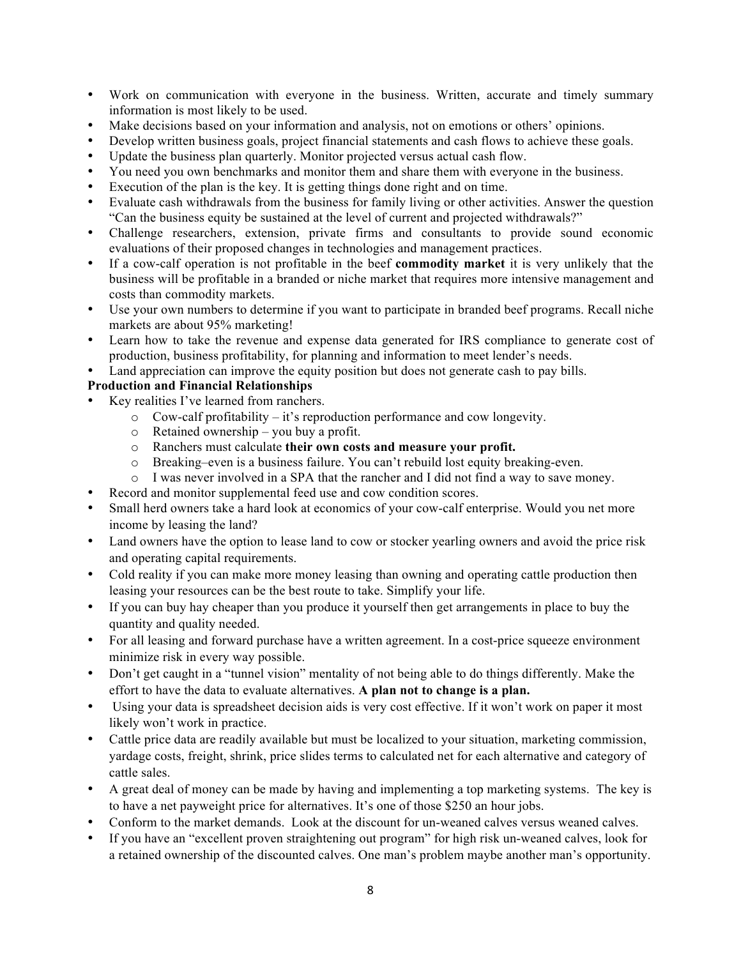- Work on communication with everyone in the business. Written, accurate and timely summary information is most likely to be used.
- Make decisions based on your information and analysis, not on emotions or others' opinions.
- Develop written business goals, project financial statements and cash flows to achieve these goals.
- Update the business plan quarterly. Monitor projected versus actual cash flow.
- You need you own benchmarks and monitor them and share them with everyone in the business.
- Execution of the plan is the key. It is getting things done right and on time.
- Evaluate cash withdrawals from the business for family living or other activities. Answer the question "Can the business equity be sustained at the level of current and projected withdrawals?"
- Challenge researchers, extension, private firms and consultants to provide sound economic evaluations of their proposed changes in technologies and management practices.
- If a cow-calf operation is not profitable in the beef **commodity market** it is very unlikely that the business will be profitable in a branded or niche market that requires more intensive management and costs than commodity markets.
- Use your own numbers to determine if you want to participate in branded beef programs. Recall niche markets are about 95% marketing!
- Learn how to take the revenue and expense data generated for IRS compliance to generate cost of production, business profitability, for planning and information to meet lender's needs.
- Land appreciation can improve the equity position but does not generate cash to pay bills.

# **Production and Financial Relationships**

- Key realities I've learned from ranchers.
	- o Cow-calf profitability it's reproduction performance and cow longevity.
	- o Retained ownership you buy a profit.
	- o Ranchers must calculate **their own costs and measure your profit.**
	- o Breaking–even is a business failure. You can't rebuild lost equity breaking-even.
	- o I was never involved in a SPA that the rancher and I did not find a way to save money.
- Record and monitor supplemental feed use and cow condition scores.
- Small herd owners take a hard look at economics of your cow-calf enterprise. Would you net more income by leasing the land?
- Land owners have the option to lease land to cow or stocker yearling owners and avoid the price risk and operating capital requirements.
- Cold reality if you can make more money leasing than owning and operating cattle production then leasing your resources can be the best route to take. Simplify your life.
- If you can buy hay cheaper than you produce it yourself then get arrangements in place to buy the quantity and quality needed.
- For all leasing and forward purchase have a written agreement. In a cost-price squeeze environment minimize risk in every way possible.
- Don't get caught in a "tunnel vision" mentality of not being able to do things differently. Make the effort to have the data to evaluate alternatives. **A plan not to change is a plan.**
- Using your data is spreadsheet decision aids is very cost effective. If it won't work on paper it most likely won't work in practice.
- Cattle price data are readily available but must be localized to your situation, marketing commission, yardage costs, freight, shrink, price slides terms to calculated net for each alternative and category of cattle sales.
- A great deal of money can be made by having and implementing a top marketing systems. The key is to have a net payweight price for alternatives. It's one of those \$250 an hour jobs.
- Conform to the market demands. Look at the discount for un-weaned calves versus weaned calves.
- If you have an "excellent proven straightening out program" for high risk un-weaned calves, look for a retained ownership of the discounted calves. One man's problem maybe another man's opportunity.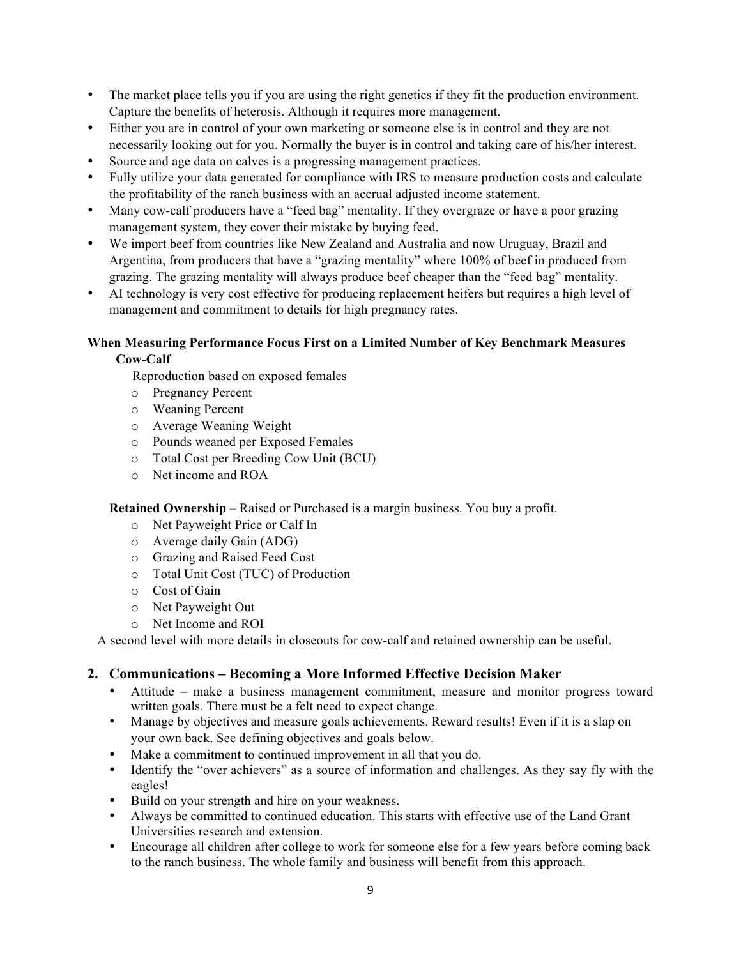- The market place tells you if you are using the right genetics if they fit the production environment. Capture the benefits of heterosis. Although it requires more management.
- Either you are in control of your own marketing or someone else is in control and they are not necessarily looking out for you. Normally the buyer is in control and taking care of his/her interest.
- Source and age data on calves is a progressing management practices.
- Fully utilize your data generated for compliance with IRS to measure production costs and calculate the profitability of the ranch business with an accrual adjusted income statement.
- Many cow-calf producers have a "feed bag" mentality. If they overgraze or have a poor grazing management system, they cover their mistake by buying feed.
- We import beef from countries like New Zealand and Australia and now Uruguay, Brazil and Argentina, from producers that have a "grazing mentality" where 100% of beef in produced from grazing. The grazing mentality will always produce beef cheaper than the "feed bag" mentality.
- AI technology is very cost effective for producing replacement heifers but requires a high level of management and commitment to details for high pregnancy rates.

### **When Measuring Performance Focus First on a Limited Number of Key Benchmark Measures Cow-Calf**

Reproduction based on exposed females

- o Pregnancy Percent
- o Weaning Percent
- o Average Weaning Weight
- o Pounds weaned per Exposed Females
- o Total Cost per Breeding Cow Unit (BCU)
- o Net income and ROA

**Retained Ownership** – Raised or Purchased is a margin business. You buy a profit.

- o Net Payweight Price or Calf In
- o Average daily Gain (ADG)
- o Grazing and Raised Feed Cost
- o Total Unit Cost (TUC) of Production
- o Cost of Gain
- o Net Payweight Out
- o Net Income and ROI

A second level with more details in closeouts for cow-calf and retained ownership can be useful.

## **2. Communications – Becoming a More Informed Effective Decision Maker**

- Attitude make a business management commitment, measure and monitor progress toward written goals. There must be a felt need to expect change.
- Manage by objectives and measure goals achievements. Reward results! Even if it is a slap on your own back. See defining objectives and goals below.
- Make a commitment to continued improvement in all that you do.
- Identify the "over achievers" as a source of information and challenges. As they say fly with the eagles!
- Build on your strength and hire on your weakness.
- Always be committed to continued education. This starts with effective use of the Land Grant Universities research and extension.
- Encourage all children after college to work for someone else for a few years before coming back to the ranch business. The whole family and business will benefit from this approach.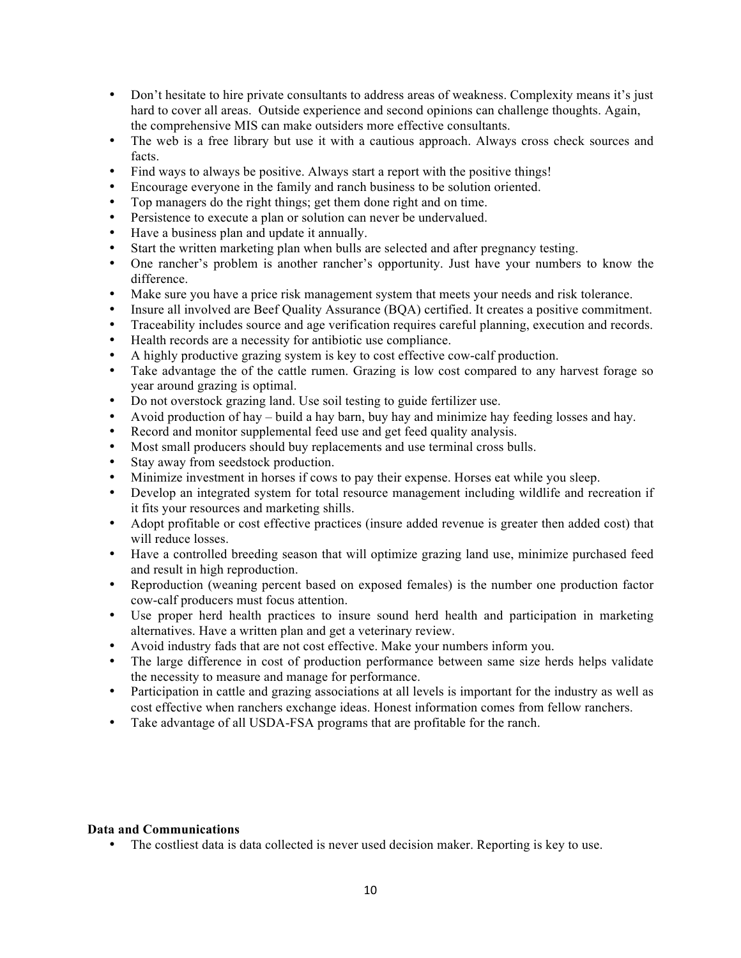- Don't hesitate to hire private consultants to address areas of weakness. Complexity means it's just hard to cover all areas. Outside experience and second opinions can challenge thoughts. Again, the comprehensive MIS can make outsiders more effective consultants.
- The web is a free library but use it with a cautious approach. Always cross check sources and facts.
- Find ways to always be positive. Always start a report with the positive things!
- Encourage everyone in the family and ranch business to be solution oriented.
- Top managers do the right things; get them done right and on time.
- Persistence to execute a plan or solution can never be undervalued.
- Have a business plan and update it annually.
- Start the written marketing plan when bulls are selected and after pregnancy testing.
- One rancher's problem is another rancher's opportunity. Just have your numbers to know the difference.
- Make sure you have a price risk management system that meets your needs and risk tolerance.
- Insure all involved are Beef Quality Assurance (BQA) certified. It creates a positive commitment.
- Traceability includes source and age verification requires careful planning, execution and records.
- Health records are a necessity for antibiotic use compliance.
- A highly productive grazing system is key to cost effective cow-calf production.
- Take advantage the of the cattle rumen. Grazing is low cost compared to any harvest forage so year around grazing is optimal.
- Do not overstock grazing land. Use soil testing to guide fertilizer use.
- Avoid production of hay build a hay barn, buy hay and minimize hay feeding losses and hay.
- Record and monitor supplemental feed use and get feed quality analysis.
- Most small producers should buy replacements and use terminal cross bulls.
- Stay away from seedstock production.
- Minimize investment in horses if cows to pay their expense. Horses eat while you sleep.
- Develop an integrated system for total resource management including wildlife and recreation if it fits your resources and marketing shills.
- Adopt profitable or cost effective practices (insure added revenue is greater then added cost) that will reduce losses.
- Have a controlled breeding season that will optimize grazing land use, minimize purchased feed and result in high reproduction.
- Reproduction (weaning percent based on exposed females) is the number one production factor cow-calf producers must focus attention.
- Use proper herd health practices to insure sound herd health and participation in marketing alternatives. Have a written plan and get a veterinary review.
- Avoid industry fads that are not cost effective. Make your numbers inform you.
- The large difference in cost of production performance between same size herds helps validate the necessity to measure and manage for performance.
- Participation in cattle and grazing associations at all levels is important for the industry as well as cost effective when ranchers exchange ideas. Honest information comes from fellow ranchers.
- Take advantage of all USDA-FSA programs that are profitable for the ranch.

### **Data and Communications**

• The costliest data is data collected is never used decision maker. Reporting is key to use.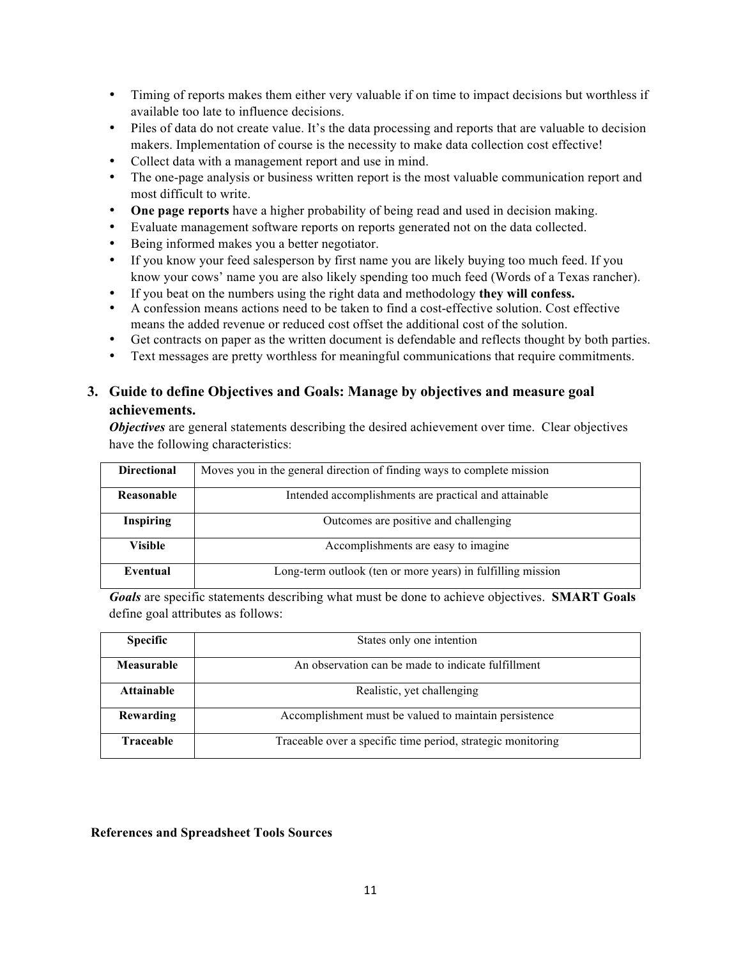- Timing of reports makes them either very valuable if on time to impact decisions but worthless if available too late to influence decisions.
- Piles of data do not create value. It's the data processing and reports that are valuable to decision makers. Implementation of course is the necessity to make data collection cost effective!
- Collect data with a management report and use in mind.
- The one-page analysis or business written report is the most valuable communication report and most difficult to write.
- **One page reports** have a higher probability of being read and used in decision making.
- Evaluate management software reports on reports generated not on the data collected.
- Being informed makes you a better negotiator.
- If you know your feed salesperson by first name you are likely buying too much feed. If you know your cows' name you are also likely spending too much feed (Words of a Texas rancher).
- If you beat on the numbers using the right data and methodology **they will confess.**
- A confession means actions need to be taken to find a cost-effective solution. Cost effective means the added revenue or reduced cost offset the additional cost of the solution.
- Get contracts on paper as the written document is defendable and reflects thought by both parties.
- Text messages are pretty worthless for meaningful communications that require commitments.

# **3. Guide to define Objectives and Goals: Manage by objectives and measure goal achievements.**

*Objectives* are general statements describing the desired achievement over time. Clear objectives have the following characteristics:

| <b>Directional</b> | Moves you in the general direction of finding ways to complete mission |
|--------------------|------------------------------------------------------------------------|
| Reasonable         | Intended accomplishments are practical and attainable                  |
| <b>Inspiring</b>   | Outcomes are positive and challenging                                  |
| <b>Visible</b>     | Accomplishments are easy to imagine                                    |
| Eventual           | Long-term outlook (ten or more years) in fulfilling mission            |

*Goals* are specific statements describing what must be done to achieve objectives. **SMART Goals** define goal attributes as follows:

| <b>Specific</b>   | States only one intention                                   |
|-------------------|-------------------------------------------------------------|
| <b>Measurable</b> | An observation can be made to indicate fulfillment          |
| <b>Attainable</b> | Realistic, yet challenging                                  |
| Rewarding         | Accomplishment must be valued to maintain persistence       |
| Traceable         | Traceable over a specific time period, strategic monitoring |

 **References and Spreadsheet Tools Sources**